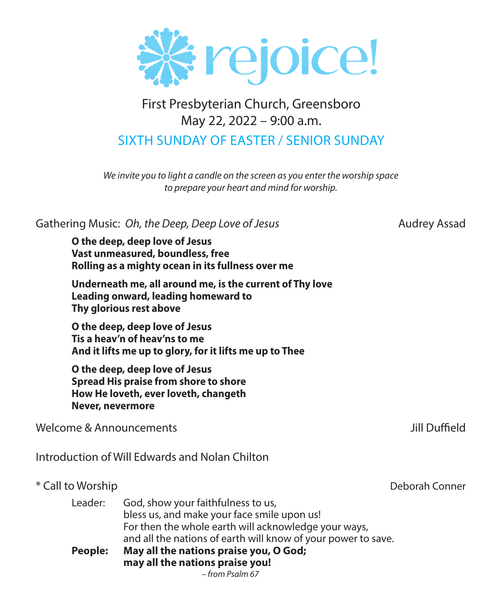

## First Presbyterian Church, Greensboro May 22, 2022 – 9:00 a.m.

## SIXTH SUNDAY OF EASTER / SENIOR SUNDAY

*We invite you to light a candle on the screen as you enter the worship space to prepare your heart and mind for worship.*

### Gathering Music: *Oh, the Deep, Deep Love of Jesus* **Audrey Assaming Audrey Assad**

**O the deep, deep love of Jesus Vast unmeasured, boundless, free Rolling as a mighty ocean in its fullness over me**

**Underneath me, all around me, is the current of Thy love Leading onward, leading homeward to Thy glorious rest above**

**O the deep, deep love of Jesus Tis a heav'n of heav'ns to me And it lifts me up to glory, for it lifts me up to Thee**

**O the deep, deep love of Jesus Spread His praise from shore to shore How He loveth, ever loveth, changeth Never, nevermore**

Welcome & Announcements **Jill Duffield** 

Introduction of Will Edwards and Nolan Chilton

\* Call to Worship Deborah Conner

| Leader: | God, show your faithfulness to us,                            |
|---------|---------------------------------------------------------------|
|         | bless us, and make your face smile upon us!                   |
|         | For then the whole earth will acknowledge your ways,          |
|         | and all the nations of earth will know of your power to save. |
| People: | May all the nations praise you, O God;                        |
|         | may all the nations praise you!                               |
|         | - from Psalm 67                                               |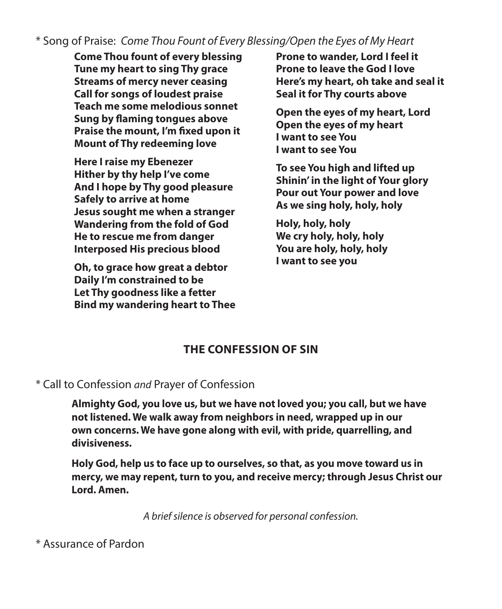\* Song of Praise: *Come Thou Fount of Every Blessing/Open the Eyes of My Heart*

**Come Thou fount of every blessing Tune my heart to sing Thy grace Streams of mercy never ceasing Call for songs of loudest praise Teach me some melodious sonnet Sung by flaming tongues above Praise the mount, I'm fixed upon it Mount of Thy redeeming love**

**Here I raise my Ebenezer Hither by thy help I've come And I hope by Thy good pleasure Safely to arrive at home Jesus sought me when a stranger Wandering from the fold of God He to rescue me from danger Interposed His precious blood**

**Oh, to grace how great a debtor Daily I'm constrained to be Let Thy goodness like a fetter Bind my wandering heart to Thee**

**Prone to wander, Lord I feel it Prone to leave the God I love Here's my heart, oh take and seal it Seal it for Thy courts above**

**Open the eyes of my heart, Lord Open the eyes of my heart I want to see You I want to see You**

**To see You high and lifted up Shinin' in the light of Your glory Pour out Your power and love As we sing holy, holy, holy**

**Holy, holy, holy We cry holy, holy, holy You are holy, holy, holy I want to see you**

### **THE CONFESSION OF SIN**

### \* Call to Confession *and* Prayer of Confession

**Almighty God, you love us, but we have not loved you; you call, but we have not listened. We walk away from neighbors in need, wrapped up in our own concerns. We have gone along with evil, with pride, quarrelling, and divisiveness.**

**Holy God, help us to face up to ourselves, so that, as you move toward us in mercy, we may repent, turn to you, and receive mercy; through Jesus Christ our Lord. Amen.** 

*A brief silence is observed for personal confession.*

\* Assurance of Pardon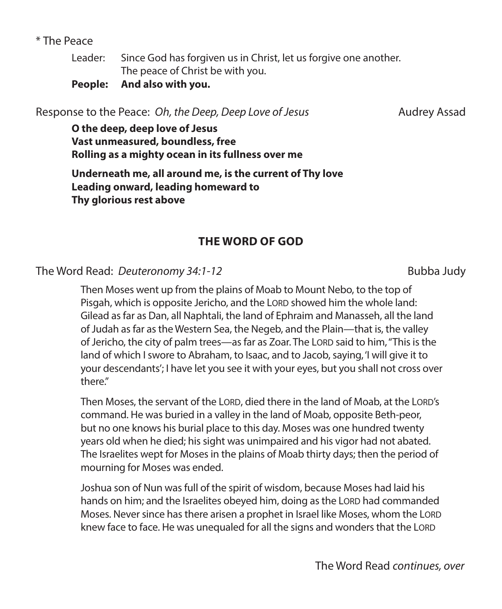### \* The Peace

 Leader: Since God has forgiven us in Christ, let us forgive one another. The peace of Christ be with you.

### **People: And also with you.**

Response to the Peace: Oh, the Deep, Deep Love of Jesus **Audrey Assad** 

**O the deep, deep love of Jesus Vast unmeasured, boundless, free Rolling as a mighty ocean in its fullness over me**

**Underneath me, all around me, is the current of Thy love Leading onward, leading homeward to Thy glorious rest above**

### **THE WORD OF GOD**

The Word Read: *Deuteronomy 34:1-12* Bubba Judy

Then Moses went up from the plains of Moab to Mount Nebo, to the top of Pisgah, which is opposite Jericho, and the LORD showed him the whole land: Gilead as far as Dan, all Naphtali, the land of Ephraim and Manasseh, all the land of Judah as far as the Western Sea, the Negeb, and the Plain—that is, the valley of Jericho, the city of palm trees—as far as Zoar. The LORD said to him, "This is the land of which I swore to Abraham, to Isaac, and to Jacob, saying, 'I will give it to your descendants'; I have let you see it with your eyes, but you shall not cross over there."

Then Moses, the servant of the LORD, died there in the land of Moab, at the LORD's command. He was buried in a valley in the land of Moab, opposite Beth-peor, but no one knows his burial place to this day. Moses was one hundred twenty years old when he died; his sight was unimpaired and his vigor had not abated. The Israelites wept for Moses in the plains of Moab thirty days; then the period of mourning for Moses was ended.

Joshua son of Nun was full of the spirit of wisdom, because Moses had laid his hands on him; and the Israelites obeyed him, doing as the LORD had commanded Moses. Never since has there arisen a prophet in Israel like Moses, whom the LORD knew face to face. He was unequaled for all the signs and wonders that the LORD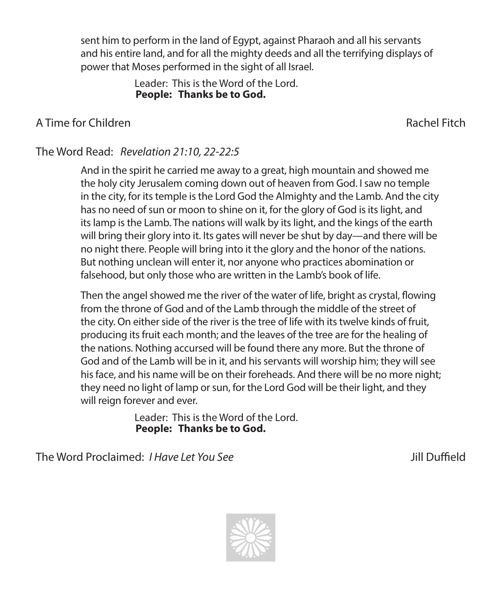sent him to perform in the land of Egypt, against Pharaoh and all his servants and his entire land, and for all the mighty deeds and all the terrifying displays of power that Moses performed in the sight of all Israel.

Leader: This is the Word of the Lord. **People: Thanks be to God.**

### A Time for Children Rachel Fitch Rachel Fitch

### The Word Read: *Revelation 21:10, 22-22:5*

And in the spirit he carried me away to a great, high mountain and showed me the holy city Jerusalem coming down out of heaven from God. I saw no temple in the city, for its temple is the Lord God the Almighty and the Lamb. And the city has no need of sun or moon to shine on it, for the glory of God is its light, and its lamp is the Lamb. The nations will walk by its light, and the kings of the earth will bring their glory into it. Its gates will never be shut by day—and there will be no night there. People will bring into it the glory and the honor of the nations. But nothing unclean will enter it, nor anyone who practices abomination or falsehood, but only those who are written in the Lamb's book of life.

Then the angel showed me the river of the water of life, bright as crystal, flowing from the throne of God and of the Lamb through the middle of the street of the city. On either side of the river is the tree of life with its twelve kinds of fruit, producing its fruit each month; and the leaves of the tree are for the healing of the nations. Nothing accursed will be found there any more. But the throne of God and of the Lamb will be in it, and his servants will worship him; they will see his face, and his name will be on their foreheads. And there will be no more night; they need no light of lamp or sun, for the Lord God will be their light, and they will reign forever and ever.

Leader: This is the Word of the Lord. **People: Thanks be to God.**

The Word Proclaimed: *I Have Let You See* Jill Duffield

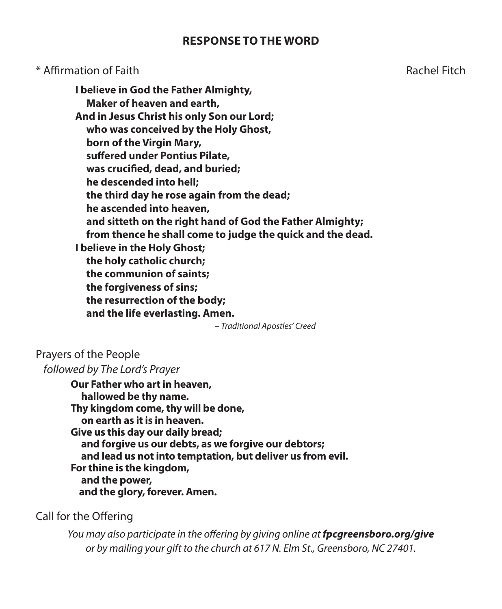### **RESPONSE TO THE WORD**

\* Affirmation of Faith Rachel Fitch

**I believe in God the Father Almighty, Maker of heaven and earth, And in Jesus Christ his only Son our Lord; who was conceived by the Holy Ghost, born of the Virgin Mary, suffered under Pontius Pilate, was crucified, dead, and buried; he descended into hell; the third day he rose again from the dead; he ascended into heaven, and sitteth on the right hand of God the Father Almighty; from thence he shall come to judge the quick and the dead. I believe in the Holy Ghost; the holy catholic church; the communion of saints; the forgiveness of sins; the resurrection of the body; and the life everlasting. Amen.** *– Traditional Apostles' Creed*

Prayers of the People *followed by The Lord's Prayer*

> **Our Father who art in heaven, hallowed be thy name. Thy kingdom come, thy will be done, on earth as it is in heaven. Give us this day our daily bread; and forgive us our debts, as we forgive our debtors; and lead us not into temptation, but deliver us from evil. For thine is the kingdom, and the power, and the glory, forever. Amen.**

Call for the Offering

*You may also [participate in the offering by giving online at](https://app.securegive.com/FPCGreensboro/main/donate/category) fpcgreensboro.org/give or by mailing your gift to the church at 617 N. Elm St., Greensboro, NC 27401.*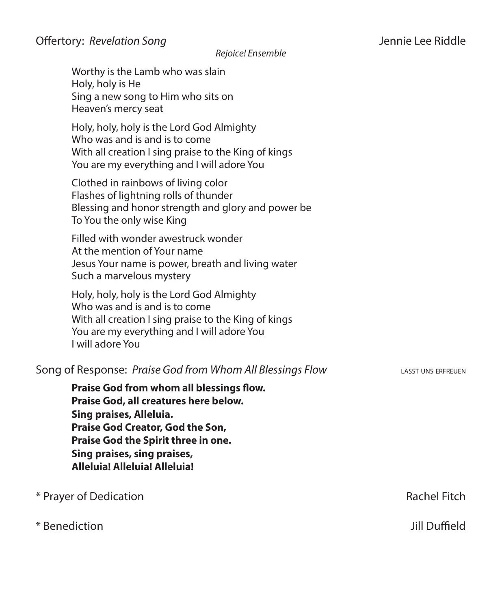*Rejoice! Ensemble*

Worthy is the Lamb who was slain Holy, holy is He Sing a new song to Him who sits on Heaven's mercy seat

Holy, holy, holy is the Lord God Almighty Who was and is and is to come With all creation I sing praise to the King of kings You are my everything and I will adore You

Clothed in rainbows of living color Flashes of lightning rolls of thunder Blessing and honor strength and glory and power be To You the only wise King

Filled with wonder awestruck wonder At the mention of Your name Jesus Your name is power, breath and living water Such a marvelous mystery

Holy, holy, holy is the Lord God Almighty Who was and is and is to come With all creation I sing praise to the King of kings You are my everything and I will adore You I will adore You

### Song of Response: *Praise God from Whom All Blessings Flow* LASST UNS ERFREUEN

**Praise God from whom all blessings flow. Praise God, all creatures here below. Sing praises, Alleluia. Praise God Creator, God the Son, Praise God the Spirit three in one. Sing praises, sing praises, Alleluia! Alleluia! Alleluia!**

### \* Prayer of Dedication Rachel Fitch

\* Benediction Jill Duffield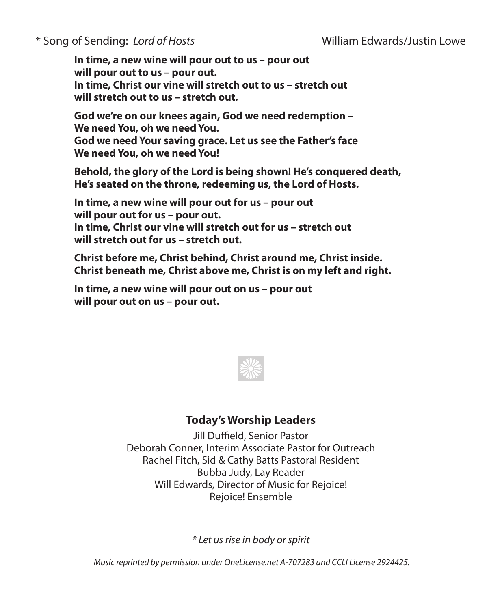**In time, a new wine will pour out to us – pour out will pour out to us – pour out. In time, Christ our vine will stretch out to us – stretch out will stretch out to us – stretch out.**

**God we're on our knees again, God we need redemption – We need You, oh we need You. God we need Your saving grace. Let us see the Father's face We need You, oh we need You!** 

**Behold, the glory of the Lord is being shown! He's conquered death, He's seated on the throne, redeeming us, the Lord of Hosts.** 

**In time, a new wine will pour out for us – pour out will pour out for us – pour out. In time, Christ our vine will stretch out for us – stretch out will stretch out for us – stretch out.**

**Christ before me, Christ behind, Christ around me, Christ inside. Christ beneath me, Christ above me, Christ is on my left and right.**

**In time, a new wine will pour out on us – pour out will pour out on us – pour out.**



### **Today's Worship Leaders**

Jill Duffield, Senior Pastor Deborah Conner, Interim Associate Pastor for Outreach Rachel Fitch, Sid & Cathy Batts Pastoral Resident Bubba Judy, Lay Reader Will Edwards, Director of Music for Rejoice! Rejoice! Ensemble

*\* Let us rise in body or spirit*

 *Music reprinted by permission under OneLicense.net A-707283 and CCLI License 2924425.*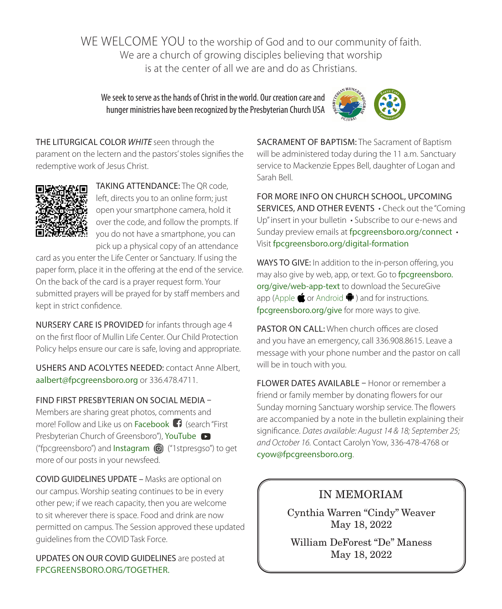WE WELCOME YOU to the worship of God and to our community of faith. We are a church of growing disciples believing that worship is at the center of all we are and do as Christians.

We seek to serve as the hands of Christ in the world. Our creation care and hunger ministries have been recognized by the Presbyterian Church USA



THE LITURGICAL COLOR *WHITE* seen through the parament on the lectern and the pastors' stoles signifies the redemptive work of Jesus Christ.



TAKING ATTENDANCE: The OR code, left, directs you to an online form; just open your smartphone camera, hold it over the code, and follow the prompts. If you do not have a smartphone, you can pick up a physical copy of an attendance

card as you enter the Life Center or Sanctuary. If using the paper form, place it in the offering at the end of the service. On the back of the card is a prayer request form. Your submitted prayers will be prayed for by staff members and kept in strict confidence.

NURSERY CARE IS PROVIDED for infants through age 4 on the first floor of Mullin Life Center. Our Child Protection Policy helps ensure our care is safe, loving and appropriate.

USHERS AND ACOLYTES NEEDED: contact Anne Albert, aalbert@fpcgreensboro.org or 336.478.4711.

### FIND FIRST PRESBYTERIAN ON SOCIAL MEDIA –

Members are sharing great photos, comments and more!Follow and Like us on **Facebook**  $\bigcap$  (se[arch "](https://www.youtube.com/user/fpcgreensboro/)First Presbyterian Church of Greensboro"), YouTube ("fpcgreensboro")and Instagram  $\textcircled{6}$  ("1stpresgso") to get more of our posts in your newsfeed.

COVID GUIDELINES UPDATE – Masks are optional on our campus. Worship seating continues to be in every other pew; if we reach capacity, then you are welcome to sit wherever there is space. Food and drink are now permitted on campus. The Session approved these updated guidelines from the COVID Task Force.

UPDATES ON OUR COVID GUIDELINES are posted at [FPCGREENSBORO.ORG/TOGETHER](http://fpcgreensboro.org/together).

SACRAMENT OF BAPTISM: The Sacrament of Baptism will be administered today during the 11 a.m. Sanctuary service to Mackenzie Eppes Bell, daughter of Logan and Sarah Bell.

FOR MORE INFO ON CHURCH SCHOOL, UPCOMING SERVICES, AND OTHER EVENTS • Check out the "Coming Up" insert in your bulletin • Subscribe to our e-news and Sunday preview emails at [fpcgreensboro.org/connect](http://fpcgreensboro.org/connect) • Visit [fpcgreensboro.org/digital-formation](http://fpcgreensboro.org/digital-formation)

WAYS TO GIVE: In addition to the in-person offering, you may also give by web, app, or text. Go to [fpcgreensboro.](http://fpcgreensboro.org/give/web-app-text) [org/give/web-app-text](http://fpcgreensboro.org/give/web-app-text) to download the SecureGive app ([Apple](https://apps.apple.com/us/app/securegive/id1310755274)  $\bullet$  or Android  $\bullet$ ) and for instructions. [fpcgreensboro.org/give](http://fpcgreensboro.org/give) for more ways to give.

PASTOR ON CALL: When church offices are closed and you have an emergency, call 336.908.8615. Leave a message with your phone number and the pastor on call will be in touch with you.

FLOWER DATES AVAILABLE – Honor or remember a friend or family member by donating flowers for our Sunday morning Sanctuary worship service. The flowers are accompanied by a note in the bulletin explaining their significance. *Dates available: August 14 & 18; September 25; and October 16.* Contact Carolyn Yow, 336-478-4768 or [cyow@fpcgreensboro.org](mailto:cyow%40fpcgreensboro.org?subject=Sanctuary%20flowers).

### IN MEMORIAM

Cynthia Warren "Cindy" Weaver May 18, 2022

William DeForest "De" Maness May 18, 2022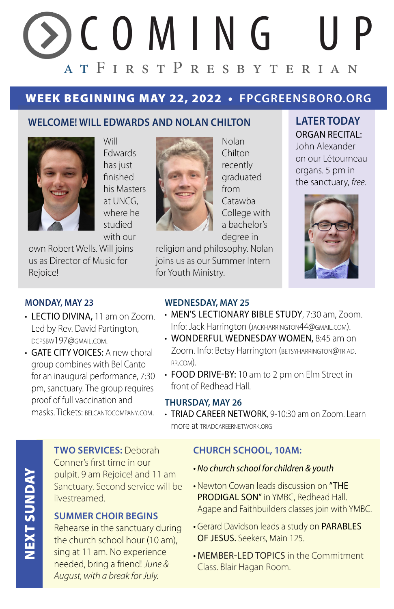# a t FirstPresbyterian C O M I N G

### WEEK BEGINNING MAY 22, 2022 • **FPCGREENSBORO.ORG**

### **WELCOME! WILL EDWARDS AND NOLAN CHILTON LATER TODAY**



Will **Edwards** has just finished his Masters at UNCG, where he studied with our

own Robert Wells. Will joins us as Director of Music for Rejoice!

### **MONDAY, MAY 23**

- LECTIO DIVINA, 11 am on Zoom. Led by Rev. David Partington, dcpsbw197@gmail.com.
- GATE CITY VOICES: A new choral group combines with Bel Canto for an inaugural performance, 7:30 pm, sanctuary. The group requires proof of full vaccination and masks. Tickets: belcantocompany.com.

Nolan Chilton recently graduated from **Catawba** College with a bachelor's degree in

religion and philosophy. Nolan joins us as our Summer Intern for Youth Ministry.

# ORGAN RECITAL:

John Alexander on our Létourneau organs. 5 pm in the sanctuary, *free.*



### **WEDNESDAY, MAY 25**

- MEN'S LECTIONARY BIBLE STUDY, 7:30 am, Zoom. Info: Jack Harrington (JACKHARRINGTON44@GMAIL.COM).
- WONDERFUL WEDNESDAY WOMEN, 8:45 am on Zoom. Info: Betsy Harrington (BETSYHARRINGTON@TRIAD. rr.com).
- FOOD DRIVE-BY: 10 am to 2 pm on Elm Street in front of Redhead Hall.

### **THURSDAY, MAY 26**

• TRIAD CAREER NETWORK, 9-10:30 am on Zoom. Learn more at **TRIADCAREERNETWORK.ORG** 

**TWO SERVICES:** Deborah Conner's first time in our pulpit. 9 am Rejoice! and 11 am Sanctuary. Second service will be livestreamed.

### **SUMMER CHOIR BEGINS**

Rehearse in the sanctuary during the church school hour (10 am), sing at 11 am. No experience needed, bring a friend! *June & August, with a break for July.*

### **CHURCH SCHOOL, 10AM:**

- *No church school for children & youth*
- Newton Cowan leads discussion on "THE PRODIGAL SON" in YMBC, Redhead Hall. Agape and Faithbuilders classes join with YMBC.
- Gerard Davidson leads a study on PARABLES OF JESUS. Seekers, Main 125.
- **MEMBER-LED TOPICS** in the Commitment Class. Blair Hagan Room.

NEXT SUNDAY **NEXT SUNDAY**